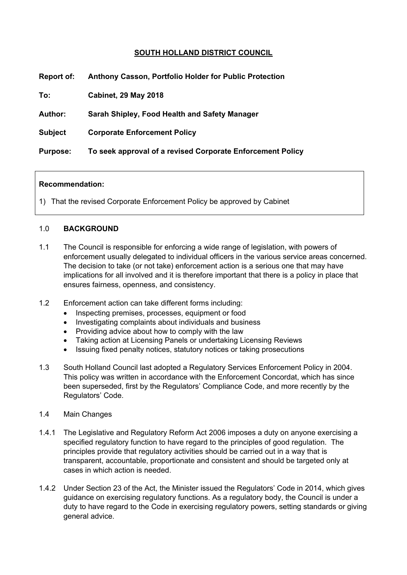# **SOUTH HOLLAND DISTRICT COUNCIL**

| <b>Report of:</b> | Anthony Casson, Portfolio Holder for Public Protection     |
|-------------------|------------------------------------------------------------|
| To:               | <b>Cabinet, 29 May 2018</b>                                |
| Author:           | Sarah Shipley, Food Health and Safety Manager              |
| <b>Subject</b>    | <b>Corporate Enforcement Policy</b>                        |
| <b>Purpose:</b>   | To seek approval of a revised Corporate Enforcement Policy |
|                   |                                                            |

### **Recommendation:**

1) That the revised Corporate Enforcement Policy be approved by Cabinet

## 1.0 **BACKGROUND**

- 1.1 The Council is responsible for enforcing a wide range of legislation, with powers of enforcement usually delegated to individual officers in the various service areas concerned. The decision to take (or not take) enforcement action is a serious one that may have implications for all involved and it is therefore important that there is a policy in place that ensures fairness, openness, and consistency.
- 1.2 Enforcement action can take different forms including:
	- Inspecting premises, processes, equipment or food
	- Investigating complaints about individuals and business
	- Providing advice about how to comply with the law
	- Taking action at Licensing Panels or undertaking Licensing Reviews
	- Issuing fixed penalty notices, statutory notices or taking prosecutions
- 1.3 South Holland Council last adopted a Regulatory Services Enforcement Policy in 2004. This policy was written in accordance with the Enforcement Concordat, which has since been superseded, first by the Regulators' Compliance Code, and more recently by the Regulators' Code.
- 1.4 Main Changes
- 1.4.1 The Legislative and Regulatory Reform Act 2006 imposes a duty on anyone exercising a specified regulatory function to have regard to the principles of good regulation. The principles provide that regulatory activities should be carried out in a way that is transparent, accountable, proportionate and consistent and should be targeted only at cases in which action is needed.
- 1.4.2 Under Section 23 of the Act, the Minister issued the Regulators' Code in 2014, which gives guidance on exercising regulatory functions. As a regulatory body, the Council is under a duty to have regard to the Code in exercising regulatory powers, setting standards or giving general advice.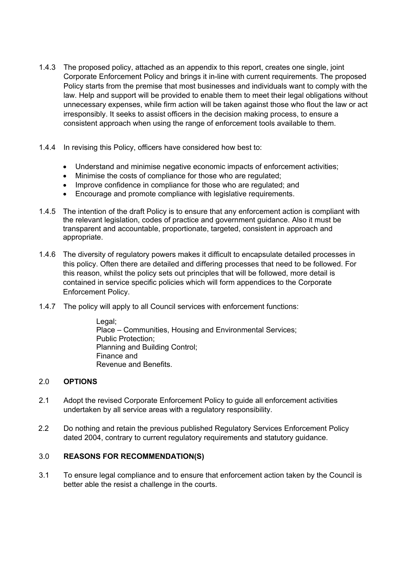- 1.4.3 The proposed policy, attached as an appendix to this report, creates one single, joint Corporate Enforcement Policy and brings it in-line with current requirements. The proposed Policy starts from the premise that most businesses and individuals want to comply with the law. Help and support will be provided to enable them to meet their legal obligations without unnecessary expenses, while firm action will be taken against those who flout the law or act irresponsibly. It seeks to assist officers in the decision making process, to ensure a consistent approach when using the range of enforcement tools available to them.
- 1.4.4 In revising this Policy, officers have considered how best to:
	- Understand and minimise negative economic impacts of enforcement activities;
	- Minimise the costs of compliance for those who are regulated;
	- Improve confidence in compliance for those who are regulated; and
	- Encourage and promote compliance with legislative requirements.
- 1.4.5 The intention of the draft Policy is to ensure that any enforcement action is compliant with the relevant legislation, codes of practice and government guidance. Also it must be transparent and accountable, proportionate, targeted, consistent in approach and appropriate.
- 1.4.6 The diversity of regulatory powers makes it difficult to encapsulate detailed processes in this policy. Often there are detailed and differing processes that need to be followed. For this reason, whilst the policy sets out principles that will be followed, more detail is contained in service specific policies which will form appendices to the Corporate Enforcement Policy.
- 1.4.7 The policy will apply to all Council services with enforcement functions:

Legal; Place – Communities, Housing and Environmental Services; Public Protection; Planning and Building Control; Finance and Revenue and Benefits.

### 2.0 **OPTIONS**

- 2.1 Adopt the revised Corporate Enforcement Policy to guide all enforcement activities undertaken by all service areas with a regulatory responsibility.
- 2.2 Do nothing and retain the previous published Regulatory Services Enforcement Policy dated 2004, contrary to current regulatory requirements and statutory guidance.

### 3.0 **REASONS FOR RECOMMENDATION(S)**

3.1 To ensure legal compliance and to ensure that enforcement action taken by the Council is better able the resist a challenge in the courts.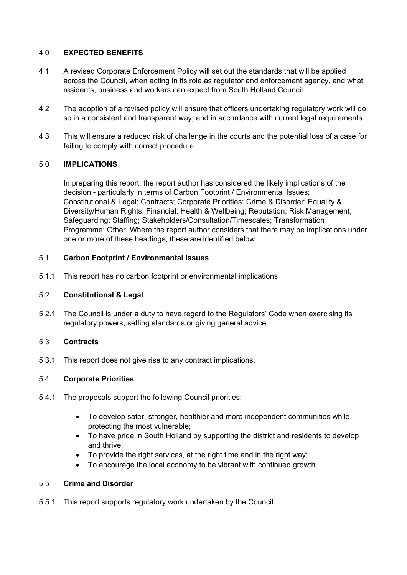# 4.0 **EXPECTED BENEFITS**

- 4.1 A revised Corporate Enforcement Policy will set out the standards that will be applied across the Council, when acting in its role as regulator and enforcement agency, and what residents, business and workers can expect from South Holland Council.
- 4.2 The adoption of a revised policy will ensure that officers undertaking regulatory work will do so in a consistent and transparent way, and in accordance with current legal requirements.
- 4.3 This will ensure a reduced risk of challenge in the courts and the potential loss of a case for failing to comply with correct procedure.

## 5.0 **IMPLICATIONS**

In preparing this report, the report author has considered the likely implications of the decision - particularly in terms of Carbon Footprint / Environmental Issues; Constitutional & Legal; Contracts; Corporate Priorities; Crime & Disorder; Equality & Diversity/Human Rights; Financial; Health & Wellbeing; Reputation; Risk Management; Safeguarding; Staffing; Stakeholders/Consultation/Timescales; Transformation Programme; Other. Where the report author considers that there may be implications under one or more of these headings, these are identified below.

### 5.1 **Carbon Footprint / Environmental Issues**

5.1.1 This report has no carbon footprint or environmental implications

### 5.2 **Constitutional & Legal**

5.2.1 The Council is under a duty to have regard to the Regulators' Code when exercising its regulatory powers, setting standards or giving general advice.

# 5.3 **Contracts**

5.3.1 This report does not give rise to any contract implications.

### 5.4 **Corporate Priorities**

- 5.4.1 The proposals support the following Council priorities:
	- To develop safer, stronger, healthier and more independent communities while protecting the most vulnerable;
	- To have pride in South Holland by supporting the district and residents to develop and thrive;
	- To provide the right services, at the right time and in the right way;
	- To encourage the local economy to be vibrant with continued growth.

### 5.5 **Crime and Disorder**

5.5.1 This report supports regulatory work undertaken by the Council.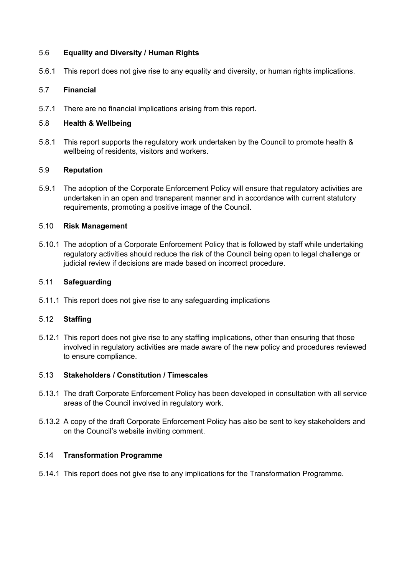## 5.6 **Equality and Diversity / Human Rights**

5.6.1 This report does not give rise to any equality and diversity, or human rights implications.

## 5.7 **Financial**

5.7.1 There are no financial implications arising from this report.

## 5.8 **Health & Wellbeing**

5.8.1 This report supports the regulatory work undertaken by the Council to promote health & wellbeing of residents, visitors and workers.

## 5.9 **Reputation**

5.9.1 The adoption of the Corporate Enforcement Policy will ensure that regulatory activities are undertaken in an open and transparent manner and in accordance with current statutory requirements, promoting a positive image of the Council.

## 5.10 **Risk Management**

5.10.1 The adoption of a Corporate Enforcement Policy that is followed by staff while undertaking regulatory activities should reduce the risk of the Council being open to legal challenge or judicial review if decisions are made based on incorrect procedure.

## 5.11 **Safeguarding**

5.11.1 This report does not give rise to any safeguarding implications

### 5.12 **Staffing**

5.12.1 This report does not give rise to any staffing implications, other than ensuring that those involved in regulatory activities are made aware of the new policy and procedures reviewed to ensure compliance.

### 5.13 **Stakeholders / Constitution / Timescales**

- 5.13.1 The draft Corporate Enforcement Policy has been developed in consultation with all service areas of the Council involved in regulatory work.
- 5.13.2 A copy of the draft Corporate Enforcement Policy has also be sent to key stakeholders and on the Council's website inviting comment.

### 5.14 **Transformation Programme**

5.14.1 This report does not give rise to any implications for the Transformation Programme.